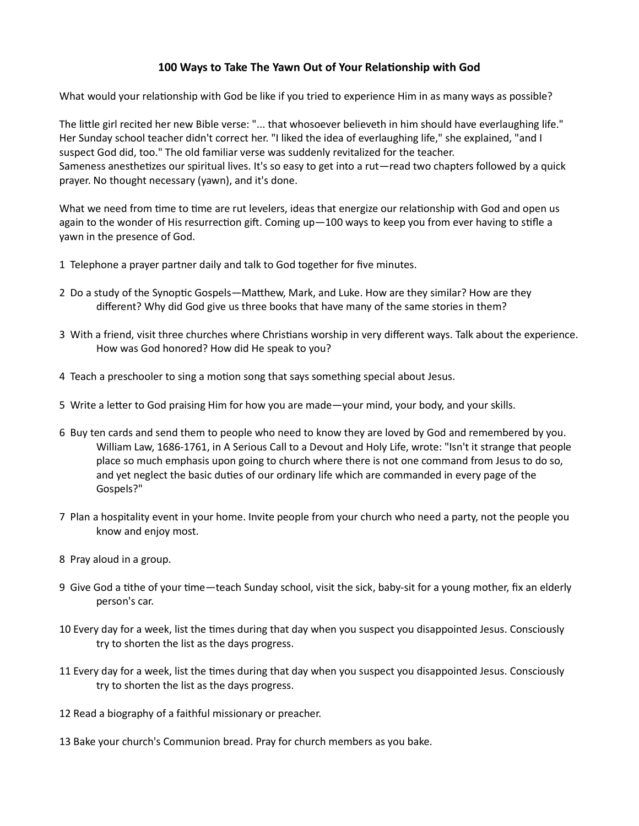## 100 Ways to Take The Yawn Out of Your Relationship with God

What would your relationship with God be like if you tried to experience Him in as many ways as possible?

The little girl recited her new Bible verse: "... that whosoever believeth in him should have everlaughing life." Her Sunday school teacher didn't correct her. "I liked the idea of everlaughing life," she explained, "and I suspect God did, too." The old familiar verse was suddenly revitalized for the teacher. Sameness anesthetizes our spiritual lives. It's so easy to get into a rut—read two chapters followed by a quick prayer. No thought necessary (yawn), and it's done.

What we need from time to time are rut levelers, ideas that energize our relationship with God and open us again to the wonder of His resurrection gift. Coming up—100 ways to keep you from ever having to stifle a yawn in the presence of God.

- 1 Telephone a prayer partner daily and talk to God together for five minutes.
- 2 Do a study of the Synoptic Gospels—Matthew, Mark, and Luke. How are they similar? How are they different? Why did God give us three books that have many of the same stories in them?
- 3 With a friend, visit three churches where Christians worship in very different ways. Talk about the experience. How was God honored? How did He speak to you?
- 4 Teach a preschooler to sing a motion song that says something special about Jesus.
- 5 Write a letter to God praising Him for how you are made—your mind, your body, and your skills.
- 6 Buy ten cards and send them to people who need to know they are loved by God and remembered by you. William Law, 1686-1761, in A Serious Call to a Devout and Holy Life, wrote: "Isn't it strange that people place so much emphasis upon going to church where there is not one command from Jesus to do so, and yet neglect the basic duties of our ordinary life which are commanded in every page of the Gospels?"
- 7 Plan a hospitality event in your home. Invite people from your church who need a party, not the people you know and enjoy most.
- 8 Pray aloud in a group.
- 9 Give God a tithe of your time—teach Sunday school, visit the sick, baby-sit for a young mother, fix an elderly person's car.
- 10 Every day for a week, list the times during that day when you suspect you disappointed Jesus. Consciously try to shorten the list as the days progress.
- 11 Every day for a week, list the times during that day when you suspect you disappointed Jesus. Consciously try to shorten the list as the days progress.
- 12 Read a biography of a faithful missionary or preacher.
- 13 Bake your church's Communion bread. Pray for church members as you bake.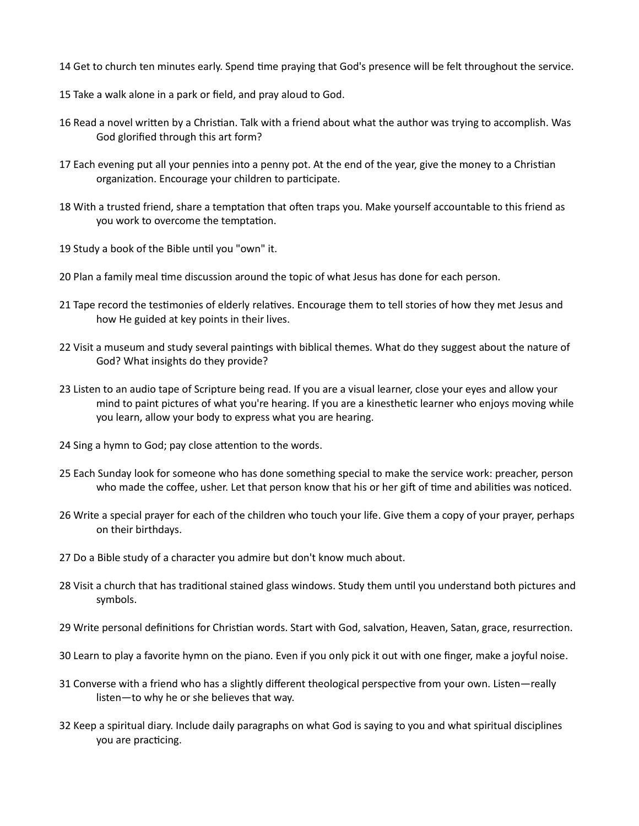- 14 Get to church ten minutes early. Spend time praying that God's presence will be felt throughout the service.
- 15 Take a walk alone in a park or field, and pray aloud to God.
- 16 Read a novel written by a Christian. Talk with a friend about what the author was trying to accomplish. Was God glorified through this art form?
- 17 Each evening put all your pennies into a penny pot. At the end of the year, give the money to a Christian organization. Encourage your children to participate.
- 18 With a trusted friend, share a temptation that often traps you. Make yourself accountable to this friend as you work to overcome the temptation.
- 19 Study a book of the Bible until you "own" it.
- 20 Plan a family meal time discussion around the topic of what Jesus has done for each person.
- 21 Tape record the testimonies of elderly relatives. Encourage them to tell stories of how they met Jesus and how He guided at key points in their lives.
- 22 Visit a museum and study several paintings with biblical themes. What do they suggest about the nature of God? What insights do they provide?
- 23 Listen to an audio tape of Scripture being read. If you are a visual learner, close your eyes and allow your mind to paint pictures of what you're hearing. If you are a kinesthetic learner who enjoys moving while you learn, allow your body to express what you are hearing.
- 24 Sing a hymn to God; pay close attention to the words.
- 25 Each Sunday look for someone who has done something special to make the service work: preacher, person who made the coffee, usher. Let that person know that his or her gift of time and abilities was noticed.
- 26 Write a special prayer for each of the children who touch your life. Give them a copy of your prayer, perhaps on their birthdays.
- 27 Do a Bible study of a character you admire but don't know much about.
- 28 Visit a church that has traditional stained glass windows. Study them until you understand both pictures and symbols.
- 29 Write personal definitions for Christian words. Start with God, salvation, Heaven, Satan, grace, resurrection.
- 30 Learn to play a favorite hymn on the piano. Even if you only pick it out with one finger, make a joyful noise.
- 31 Converse with a friend who has a slightly different theological perspective from your own. Listen—really listen—to why he or she believes that way.
- 32 Keep a spiritual diary. Include daily paragraphs on what God is saying to you and what spiritual disciplines you are practicing.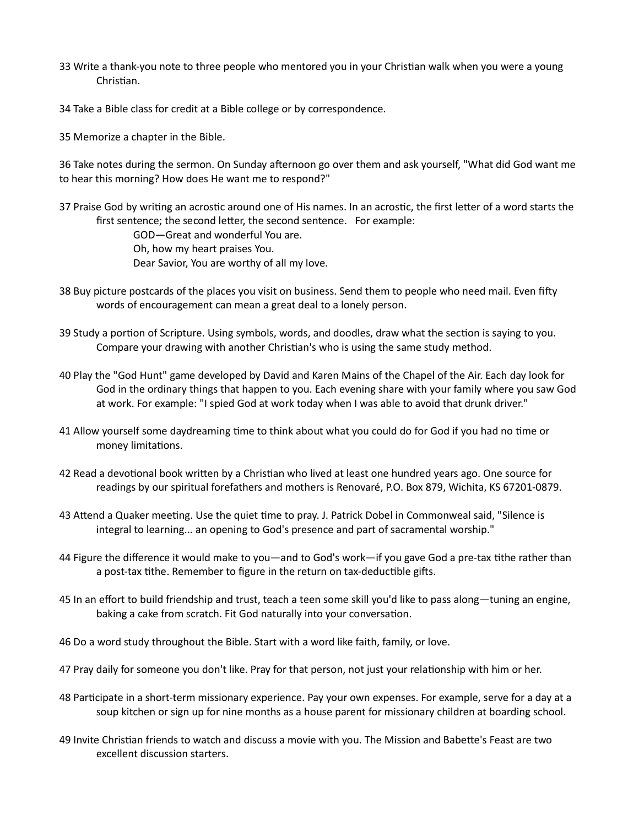- 33 Write a thank-you note to three people who mentored you in your Christian walk when you were a young Christian.
- 34 Take a Bible class for credit at a Bible college or by correspondence.
- 35 Memorize a chapter in the Bible.

36 Take notes during the sermon. On Sunday afternoon go over them and ask yourself, "What did God want me to hear this morning? How does He want me to respond?"

37 Praise God by writing an acrostic around one of His names. In an acrostic, the first letter of a word starts the first sentence; the second letter, the second sentence. For example:

> GOD—Great and wonderful You are. Oh, how my heart praises You.

Dear Savior, You are worthy of all my love.

- 38 Buy picture postcards of the places you visit on business. Send them to people who need mail. Even fifty words of encouragement can mean a great deal to a lonely person.
- 39 Study a portion of Scripture. Using symbols, words, and doodles, draw what the section is saying to you. Compare your drawing with another Christian's who is using the same study method.
- 40 Play the "God Hunt" game developed by David and Karen Mains of the Chapel of the Air. Each day look for God in the ordinary things that happen to you. Each evening share with your family where you saw God at work. For example: "I spied God at work today when I was able to avoid that drunk driver."
- 41 Allow yourself some daydreaming time to think about what you could do for God if you had no time or money limitations.
- 42 Read a devotional book written by a Christian who lived at least one hundred years ago. One source for readings by our spiritual forefathers and mothers is Renovaré, P.O. Box 879, Wichita, KS 67201-0879.
- 43 Attend a Quaker meeting. Use the quiet time to pray. J. Patrick Dobel in Commonweal said, "Silence is integral to learning... an opening to God's presence and part of sacramental worship."
- 44 Figure the difference it would make to you—and to God's work—if you gave God a pre-tax tithe rather than a post-tax tithe. Remember to figure in the return on tax-deductible gifts.
- 45 In an effort to build friendship and trust, teach a teen some skill you'd like to pass along—tuning an engine, baking a cake from scratch. Fit God naturally into your conversation.
- 46 Do a word study throughout the Bible. Start with a word like faith, family, or love.
- 47 Pray daily for someone you don't like. Pray for that person, not just your relationship with him or her.
- 48 Participate in a short-term missionary experience. Pay your own expenses. For example, serve for a day at a soup kitchen or sign up for nine months as a house parent for missionary children at boarding school.
- 49 Invite Christian friends to watch and discuss a movie with you. The Mission and Babette's Feast are two excellent discussion starters.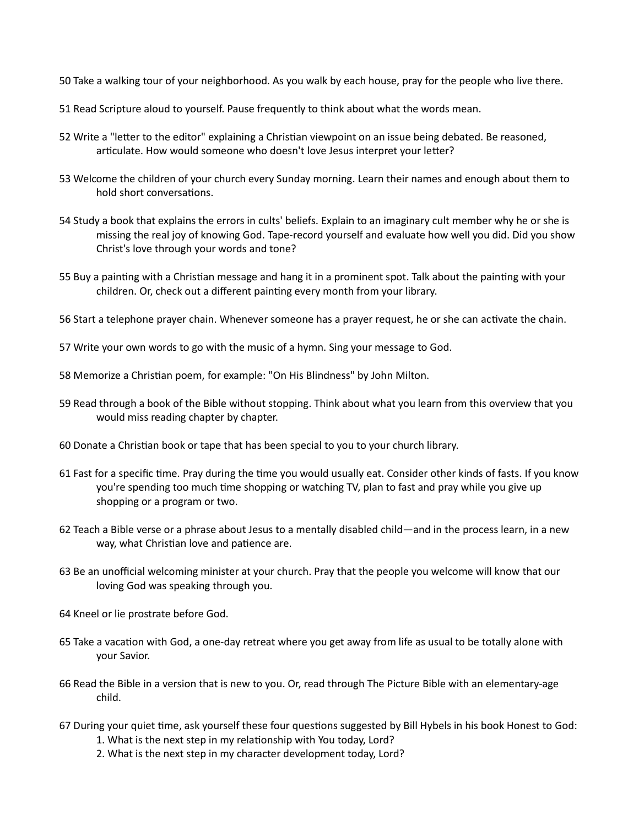- 50 Take a walking tour of your neighborhood. As you walk by each house, pray for the people who live there.
- 51 Read Scripture aloud to yourself. Pause frequently to think about what the words mean.
- 52 Write a "letter to the editor" explaining a Christian viewpoint on an issue being debated. Be reasoned, articulate. How would someone who doesn't love Jesus interpret your letter?
- 53 Welcome the children of your church every Sunday morning. Learn their names and enough about them to hold short conversations.
- 54 Study a book that explains the errors in cults' beliefs. Explain to an imaginary cult member why he or she is missing the real joy of knowing God. Tape-record yourself and evaluate how well you did. Did you show Christ's love through your words and tone?
- 55 Buy a painting with a Christian message and hang it in a prominent spot. Talk about the painting with your children. Or, check out a different painting every month from your library.
- 56 Start a telephone prayer chain. Whenever someone has a prayer request, he or she can activate the chain.
- 57 Write your own words to go with the music of a hymn. Sing your message to God.
- 58 Memorize a Christian poem, for example: "On His Blindness" by John Milton.
- 59 Read through a book of the Bible without stopping. Think about what you learn from this overview that you would miss reading chapter by chapter.
- 60 Donate a ChrisƟan book or tape that has been special to you to your church library.
- 61 Fast for a specific time. Pray during the time you would usually eat. Consider other kinds of fasts. If you know you're spending too much time shopping or watching TV, plan to fast and pray while you give up shopping or a program or two.
- 62 Teach a Bible verse or a phrase about Jesus to a mentally disabled child—and in the process learn, in a new way, what Christian love and patience are.
- 63 Be an unofficial welcoming minister at your church. Pray that the people you welcome will know that our loving God was speaking through you.
- 64 Kneel or lie prostrate before God.
- 65 Take a vacation with God, a one-day retreat where you get away from life as usual to be totally alone with your Savior.
- 66 Read the Bible in a version that is new to you. Or, read through The Picture Bible with an elementary-age child.
- 67 During your quiet time, ask yourself these four questions suggested by Bill Hybels in his book Honest to God:
	- 1. What is the next step in my relationship with You today, Lord?
	- 2. What is the next step in my character development today, Lord?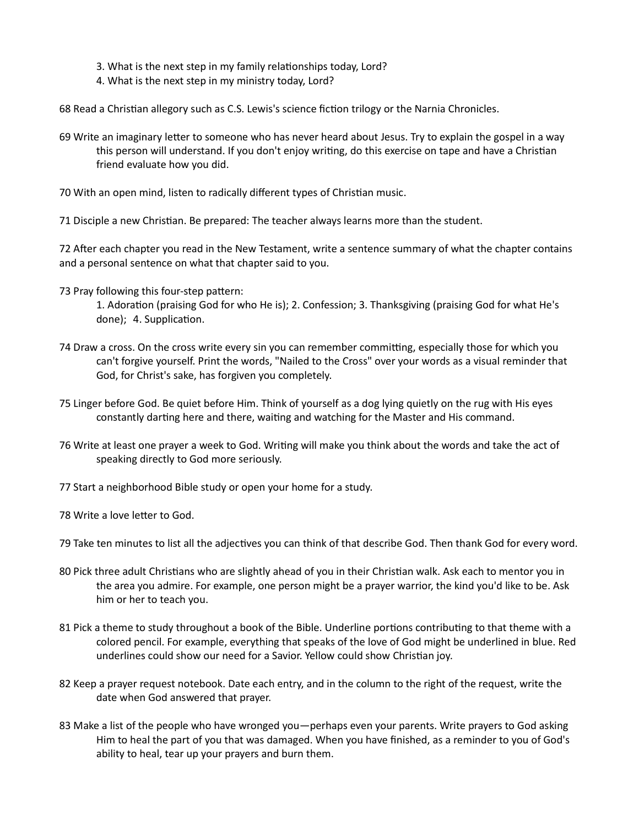- 3. What is the next step in my family relationships today, Lord?
- 4. What is the next step in my ministry today, Lord?

68 Read a Christian allegory such as C.S. Lewis's science fiction trilogy or the Narnia Chronicles.

- 69 Write an imaginary letter to someone who has never heard about Jesus. Try to explain the gospel in a way this person will understand. If you don't enjoy writing, do this exercise on tape and have a Christian friend evaluate how you did.
- 70 With an open mind, listen to radically different types of Christian music.

71 Disciple a new Christian. Be prepared: The teacher always learns more than the student.

72 After each chapter you read in the New Testament, write a sentence summary of what the chapter contains and a personal sentence on what that chapter said to you.

73 Pray following this four-step pattern:

1. Adoration (praising God for who He is); 2. Confession; 3. Thanksgiving (praising God for what He's done); 4. Supplication.

- 74 Draw a cross. On the cross write every sin you can remember committing, especially those for which you can't forgive yourself. Print the words, "Nailed to the Cross" over your words as a visual reminder that God, for Christ's sake, has forgiven you completely.
- 75 Linger before God. Be quiet before Him. Think of yourself as a dog lying quietly on the rug with His eyes constantly darting here and there, waiting and watching for the Master and His command.
- 76 Write at least one prayer a week to God. Writing will make you think about the words and take the act of speaking directly to God more seriously.
- 77 Start a neighborhood Bible study or open your home for a study.
- 78 Write a love letter to God.

79 Take ten minutes to list all the adjectives you can think of that describe God. Then thank God for every word.

- 80 Pick three adult Christians who are slightly ahead of you in their Christian walk. Ask each to mentor you in the area you admire. For example, one person might be a prayer warrior, the kind you'd like to be. Ask him or her to teach you.
- 81 Pick a theme to study throughout a book of the Bible. Underline portions contributing to that theme with a colored pencil. For example, everything that speaks of the love of God might be underlined in blue. Red underlines could show our need for a Savior. Yellow could show Christian joy.
- 82 Keep a prayer request notebook. Date each entry, and in the column to the right of the request, write the date when God answered that prayer.
- 83 Make a list of the people who have wronged you—perhaps even your parents. Write prayers to God asking Him to heal the part of you that was damaged. When you have finished, as a reminder to you of God's ability to heal, tear up your prayers and burn them.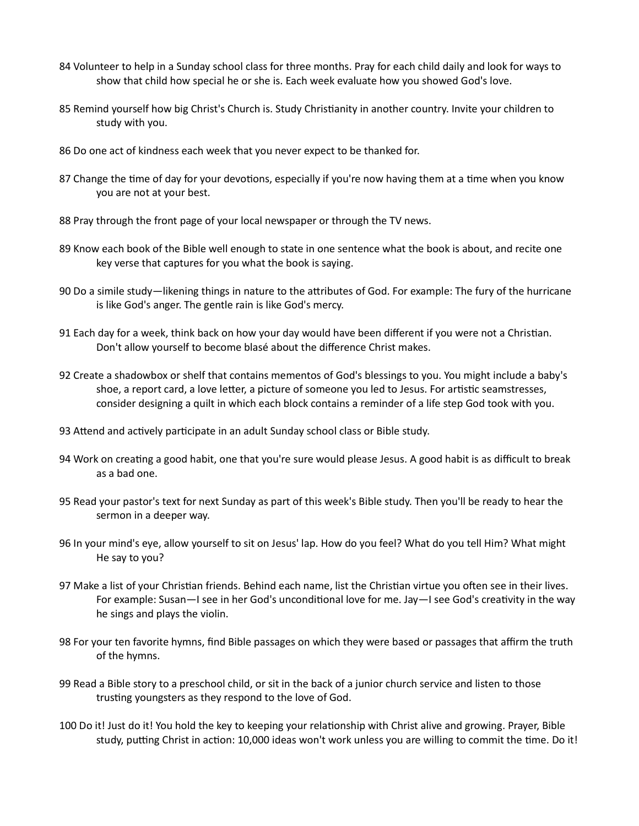- 84 Volunteer to help in a Sunday school class for three months. Pray for each child daily and look for ways to show that child how special he or she is. Each week evaluate how you showed God's love.
- 85 Remind yourself how big Christ's Church is. Study Christianity in another country. Invite your children to study with you.
- 86 Do one act of kindness each week that you never expect to be thanked for.
- 87 Change the time of day for your devotions, especially if you're now having them at a time when you know you are not at your best.
- 88 Pray through the front page of your local newspaper or through the TV news.
- 89 Know each book of the Bible well enough to state in one sentence what the book is about, and recite one key verse that captures for you what the book is saying.
- 90 Do a simile study—likening things in nature to the attributes of God. For example: The fury of the hurricane is like God's anger. The gentle rain is like God's mercy.
- 91 Each day for a week, think back on how your day would have been different if you were not a Christian. Don't allow yourself to become blasé about the difference Christ makes.
- 92 Create a shadowbox or shelf that contains mementos of God's blessings to you. You might include a baby's shoe, a report card, a love letter, a picture of someone you led to Jesus. For artistic seamstresses, consider designing a quilt in which each block contains a reminder of a life step God took with you.
- 93 Attend and actively participate in an adult Sunday school class or Bible study.
- 94 Work on creating a good habit, one that you're sure would please Jesus. A good habit is as difficult to break as a bad one.
- 95 Read your pastor's text for next Sunday as part of this week's Bible study. Then you'll be ready to hear the sermon in a deeper way.
- 96 In your mind's eye, allow yourself to sit on Jesus' lap. How do you feel? What do you tell Him? What might He say to you?
- 97 Make a list of your Christian friends. Behind each name, list the Christian virtue you often see in their lives. For example: Susan—I see in her God's unconditional love for me. Jay—I see God's creativity in the way he sings and plays the violin.
- 98 For your ten favorite hymns, find Bible passages on which they were based or passages that affirm the truth of the hymns.
- 99 Read a Bible story to a preschool child, or sit in the back of a junior church service and listen to those trusting youngsters as they respond to the love of God.
- 100 Do it! Just do it! You hold the key to keeping your relationship with Christ alive and growing. Prayer, Bible study, putting Christ in action: 10,000 ideas won't work unless you are willing to commit the time. Do it!